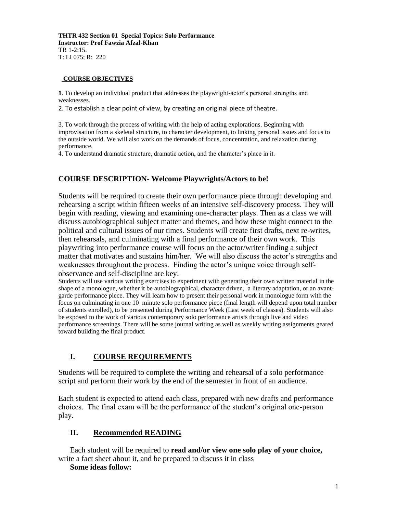**THTR 432 Section 01 Special Topics: Solo Performance Instructor: Prof Fawzia Afzal-Khan** TR 1-2:15. T: LI 075; R: 220

#### **COURSE OBJECTIVES**

**1**. To develop an individual product that addresses the playwright-actor's personal strengths and weaknesses.

2. To establish a clear point of view, by creating an original piece of theatre.

3. To work through the process of writing with the help of acting explorations. Beginning with improvisation from a skeletal structure, to character development, to linking personal issues and focus to the outside world. We will also work on the demands of focus, concentration, and relaxation during performance.

4. To understand dramatic structure, dramatic action, and the character's place in it.

# **COURSE DESCRIPTION- Welcome Playwrights/Actors to be!**

Students will be required to create their own performance piece through developing and rehearsing a script within fifteen weeks of an intensive self-discovery process. They will begin with reading, viewing and examining one-character plays. Then as a class we will discuss autobiographical subject matter and themes, and how these might connect to the political and cultural issues of our times. Students will create first drafts, next re-writes, then rehearsals, and culminating with a final performance of their own work. This playwriting into performance course will focus on the actor/writer finding a subject matter that motivates and sustains him/her. We will also discuss the actor's strengths and weaknesses throughout the process. Finding the actor's unique voice through selfobservance and self-discipline are key.

Students will use various writing exercises to experiment with generating their own written material in the shape of a monologue, whether it be autobiographical, character driven, a literary adaptation, or an avantgarde performance piece. They will learn how to present their personal work in monologue form with the focus on culminating in one 10 minute solo performance piece (final length will depend upon total number of students enrolled), to be presented during Performance Week (Last week of classes). Students will also be exposed to the work of various contemporary solo performance artists through live and video performance screenings. There will be some journal writing as well as weekly writing assignments geared toward building the final product.

# **I. COURSE REQUIREMENTS**

Students will be required to complete the writing and rehearsal of a solo performance script and perform their work by the end of the semester in front of an audience.

Each student is expected to attend each class, prepared with new drafts and performance choices. The final exam will be the performance of the student's original one-person play.

# **II. Recommended READING**

Each student will be required to **read and/or view one solo play of your choice,** write a fact sheet about it, and be prepared to discuss it in class

#### **Some ideas follow:**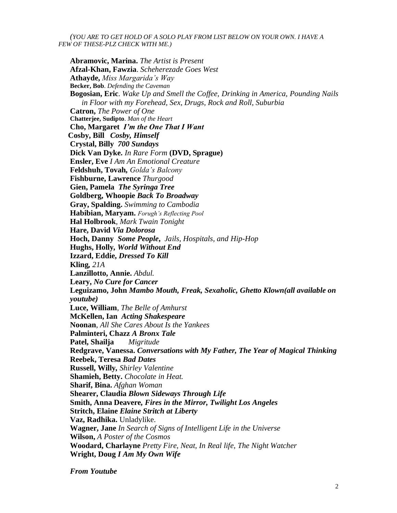*(YOU ARE TO GET HOLD OF A SOLO PLAY FROM LIST BELOW ON YOUR OWN. I HAVE A FEW OF THESE-PLZ CHECK WITH ME.)*

**Abramovic, Marina.** *The Artist is Present* **Afzal-Khan, Fawzia**. *Scheherezade Goes West* **Athayde,** *Miss Margarida's Way* **Becker, Bob**. *Defending the Caveman* **Bogosian, Eric**. *Wake Up and Smell the Coffee, Drinking in America, Pounding Nails in Floor with my Forehead, Sex, Drugs, Rock and Roll, Suburbia* **Catron,** *The Power of One* **Chatterjee, Sudipto**. *Man of the Heart* **Cho, Margaret** *I'm the One That I Want* **Cosby, Bill** *Cosby, Himself*  **Crystal, Billy** *700 Sundays* **Dick Van Dyke.** *In Rare Form* **(DVD, Sprague) Ensler, Eve** *I Am An Emotional Creature* **Feldshuh, Tovah***, Golda's Balcony* **Fishburne, Lawrence** *Thurgood* **Gien, Pamela** *The Syringa Tree* **Goldberg, Whoopie** *Back To Broadway* **Gray, Spalding.** *Swimming to Cambodia* **Habibian, Maryam.** *Forugh's Reflecting Pool* **Hal Holbrook**, *Mark Twain Tonight* **Hare, David** *Via Dolorosa* **Hoch, Danny** *Some People***,** *Jails, Hospitals, and Hip-Hop* **Hughs, Holly***, World Without End* **Izzard, Eddie,** *Dressed To Kill* **Kling***, 21A* **Lanzillotto, Annie.** *Abdul.* **Leary,** *No Cure for Cancer* **Leguizamo, John** *Mambo Mouth, Freak, Sexaholic, Ghetto Klown(all available on youtube)* **Luce, William**, *The Belle of Amhurst* **McKellen, Ian** *Acting Shakespeare* **Noonan**, *All She Cares About Is the Yankees* **Palminteri, Chazz** *A Bronx Tale* **Patel, Shailja** *Migritude* **Redgrave, Vanessa.** *Conversations with My Father, The Year of Magical Thinking* **Reebek, Teresa** *Bad Dates* **Russell, Willy***, Shirley Valentine* **Shamieh, Betty.** *Chocolate in Heat.* **Sharif, Bina.** *Afghan Woman* **Shearer, Claudia** *Blown Sideways Through Life* **Smith, Anna Deavere***, Fires in the Mirror, Twilight Los Angeles* **Stritch, Elaine** *Elaine Stritch at Liberty* **Vaz, Radhika.** Unladylike. **Wagner, Jane** *In Search of Signs of Intelligent Life in the Universe* **Wilson,** *A Poster of the Cosmos* **Woodard, Charlayne** *Pretty Fire, Neat, In Real life, The Night Watcher* **Wright, Doug** *I Am My Own Wife*

*From Youtube*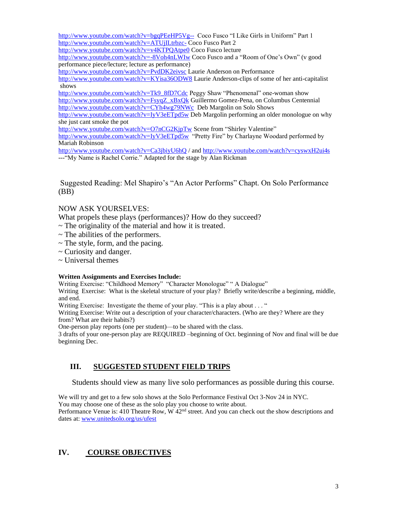<http://www.youtube.com/watch?v=bgqPEeHP5Vg-->Coco Fusco "I Like Girls in Uniform" Part 1 <http://www.youtube.com/watch?v=ATUjILtrbzc-> Coco Fusco Part 2

<http://www.youtube.com/watch?v=v4KTPQAtpe0> Coco Fusco lecture

<http://www.youtube.com/watch?v=-8Voh4nLWIw> Coco Fusco and a "Room of One's Own" (v good performance piece/lecture; lecture as performance)

<http://www.youtube.com/watch?v=PvdDK2eivsc> Laurie Anderson on Performance

<http://www.youtube.com/watch?v=KYisa36ODW8> Laurie Anderson-clips of some of her anti-capitalist shows

[http://www.youtube.com/watch?v=Tk9\\_8fD7Cdc](http://www.youtube.com/watch?v=Tk9_8fD7Cdc) Peggy Shaw "Phenomenal" one-woman show [http://www.youtube.com/watch?v=FsyqZ\\_xBxQk](http://www.youtube.com/watch?v=FsyqZ_xBxQk) Guillermo Gomez-Pena, on Columbus Centennial <http://www.youtube.com/watch?v=CYh4wg79NWc>Deb Margolin on Solo Shows

<http://www.youtube.com/watch?v=IyV3eETpd5w> Deb Margolin performing an older monologue on why she just cant smoke the pot

<http://www.youtube.com/watch?v=O7nCG2KjpTw> Scene from "Shirley Valentine"

<http://www.youtube.com/watch?v=IyV3eETpd5w>"Pretty Fire" by Charlayne Woodard performed by Mariah Robinson

<http://www.youtube.com/watch?v=Ca3jbiyU6hQ> / an[d http://www.youtube.com/watch?v=cyswxH2ui4s](http://www.youtube.com/watch?v=cyswxH2ui4s) ---"My Name is Rachel Corrie." Adapted for the stage by Alan Rickman

Suggested Reading: Mel Shapiro's "An Actor Performs" Chapt. On Solo Performance (BB)

### NOW ASK YOURSELVES:

What propels these plays (performances)? How do they succeed?

- $\sim$  The originality of the material and how it is treated.
- $\sim$  The abilities of the performers.
- $\sim$  The style, form, and the pacing.
- ~ Curiosity and danger.
- $\sim$  Universal themes

#### **Written Assignments and Exercises Include:**

Writing Exercise: "Childhood Memory" "Character Monologue" " A Dialogue"

Writing Exercise: What is the skeletal structure of your play? Briefly write/describe a beginning, middle, and end.

Writing Exercise: Investigate the theme of your play. "This is a play about . . . "

Writing Exercise: Write out a description of your character/characters. (Who are they? Where are they from? What are their habits?)

One-person play reports (one per student)—to be shared with the class.

3 drafts of your one-person play are REQUIRED –beginning of Oct. beginning of Nov and final will be due beginning Dec.

# **III. SUGGESTED STUDENT FIELD TRIPS**

Students should view as many live solo performances as possible during this course.

We will try and get to a few solo shows at the Solo Performance Festival Oct 3-Nov 24 in NYC.

You may choose one of these as the solo play you choose to write about.

Performance Venue is: 410 Theatre Row, W  $42<sup>nd</sup>$  street. And you can check out the show descriptions and dates at[: www.unitedsolo.org/us/ufest](http://www.unitedsolo.org/us/ufest)

# **IV. COURSE OBJECTIVES**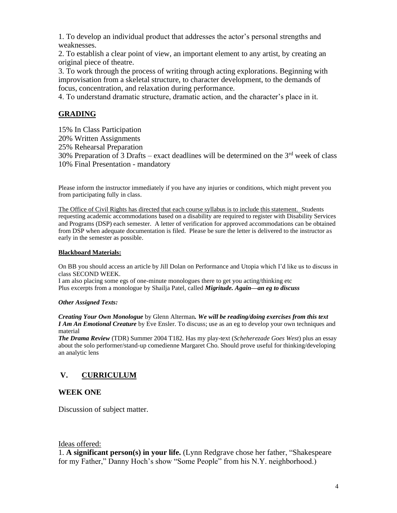1. To develop an individual product that addresses the actor's personal strengths and weaknesses.

2. To establish a clear point of view, an important element to any artist, by creating an original piece of theatre.

3. To work through the process of writing through acting explorations. Beginning with improvisation from a skeletal structure, to character development, to the demands of focus, concentration, and relaxation during performance.

4. To understand dramatic structure, dramatic action, and the character's place in it.

# **GRADING**

15% In Class Participation

- 20% Written Assignments
- 25% Rehearsal Preparation

30% Preparation of 3 Drafts – exact deadlines will be determined on the  $3<sup>rd</sup>$  week of class 10% Final Presentation - mandatory

Please inform the instructor immediately if you have any injuries or conditions, which might prevent you from participating fully in class.

The Office of Civil Rights has directed that each course syllabus is to include this statement. Students requesting academic accommodations based on a disability are required to register with Disability Services and Programs (DSP) each semester. A letter of verification for approved accommodations can be obtained from DSP when adequate documentation is filed. Please be sure the letter is delivered to the instructor as early in the semester as possible.

#### **Blackboard Materials:**

On BB you should access an article by Jill Dolan on Performance and Utopia which I'd like us to discuss in class SECOND WEEK.

I am also placing some egs of one-minute monologues there to get you acting/thinking etc Plus excerpts from a monologue by Shailja Patel, called *Migritude. Again—an eg to discuss*

#### *Other Assigned Texts:*

*Creating Your Own Monologue* by Glenn Alterman*. We will be reading/doing exercises from this text I Am An Emotional Creature* by Eve Ensler. To discuss; use as an eg to develop your own techniques and material

*The Drama Review* (TDR) Summer 2004 T182. Has my play-text (*Scheherezade Goes West*) plus an essay about the solo performer/stand-up comedienne Margaret Cho. Should prove useful for thinking/developing an analytic lens

# **V. CURRICULUM**

#### **WEEK ONE**

Discussion of subject matter.

#### Ideas offered:

1. **A significant person(s) in your life.** (Lynn Redgrave chose her father, "Shakespeare for my Father," Danny Hoch's show "Some People" from his N.Y. neighborhood.)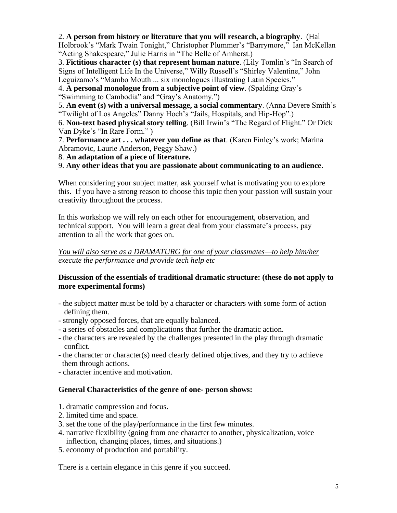### 2. **A person from history or literature that you will research, a biography**. (Hal

Holbrook's "Mark Twain Tonight," Christopher Plummer's "Barrymore," Ian McKellan "Acting Shakespeare," Julie Harris in "The Belle of Amherst.)

3. **Fictitious character (s) that represent human nature**. (Lily Tomlin's "In Search of Signs of Intelligent Life In the Universe," Willy Russell's "Shirley Valentine," John Leguizamo's "Mambo Mouth ... six monologues illustrating Latin Species."

4. **A personal monologue from a subjective point of view**. (Spalding Gray's "Swimming to Cambodia" and "Gray's Anatomy.")

5. **An event (s) with a universal message, a social commentary**. (Anna Devere Smith's "Twilight of Los Angeles" Danny Hoch's "Jails, Hospitals, and Hip-Hop".)

6. **Non-text based physical story telling**. (Bill Irwin's "The Regard of Flight." Or Dick Van Dyke's "In Rare Form." )

7. **Performance art . . . whatever you define as that**. (Karen Finley's work; Marina Abramovic, Laurie Anderson, Peggy Shaw.)

8. **An adaptation of a piece of literature.**

9. **Any other ideas that you are passionate about communicating to an audience**.

When considering your subject matter, ask yourself what is motivating you to explore this. If you have a strong reason to choose this topic then your passion will sustain your creativity throughout the process.

In this workshop we will rely on each other for encouragement, observation, and technical support. You will learn a great deal from your classmate's process, pay attention to all the work that goes on.

### *You will also serve as a DRAMATURG for one of your classmates—to help him/her execute the performance and provide tech help etc*

# **Discussion of the essentials of traditional dramatic structure: (these do not apply to more experimental forms)**

- the subject matter must be told by a character or characters with some form of action defining them.
- strongly opposed forces, that are equally balanced.
- a series of obstacles and complications that further the dramatic action.
- the characters are revealed by the challenges presented in the play through dramatic conflict.
- the character or character(s) need clearly defined objectives, and they try to achieve them through actions.
- character incentive and motivation.

# **General Characteristics of the genre of one- person shows:**

- 1. dramatic compression and focus.
- 2. limited time and space.
- 3. set the tone of the play/performance in the first few minutes.
- 4. narrative flexibility (going from one character to another, physicalization, voice inflection, changing places, times, and situations.)
- 5. economy of production and portability.

There is a certain elegance in this genre if you succeed.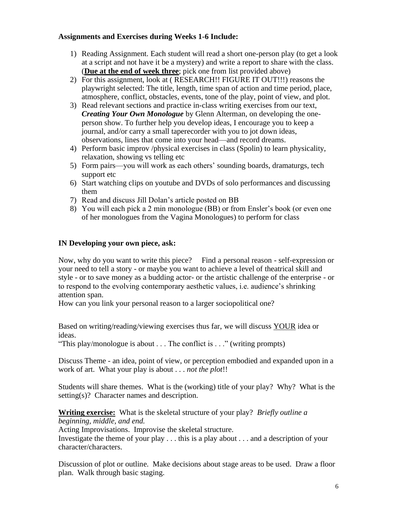### **Assignments and Exercises during Weeks 1-6 Include:**

- 1) Reading Assignment. Each student will read a short one-person play (to get a look at a script and not have it be a mystery) and write a report to share with the class. (**Due at the end of week three**; pick one from list provided above)
- 2) For this assignment, look at ( RESEARCH!! FIGURE IT OUT!!!) reasons the playwright selected: The title, length, time span of action and time period, place, atmosphere, conflict, obstacles, events, tone of the play, point of view, and plot.
- 3) Read relevant sections and practice in-class writing exercises from our text, *Creating Your Own Monologue* by Glenn Alterman, on developing the oneperson show. To further help you develop ideas, I encourage you to keep a journal, and/or carry a small taperecorder with you to jot down ideas, observations, lines that come into your head—and record dreams.
- 4) Perform basic improv /physical exercises in class (Spolin) to learn physicality, relaxation, showing vs telling etc
- 5) Form pairs—you will work as each others' sounding boards, dramaturgs, tech support etc
- 6) Start watching clips on youtube and DVDs of solo performances and discussing them
- 7) Read and discuss Jill Dolan's article posted on BB
- 8) You will each pick a 2 min monologue (BB) or from Ensler's book (or even one of her monologues from the Vagina Monologues) to perform for class

### **IN Developing your own piece, ask:**

Now, why do you want to write this piece? Find a personal reason - self-expression or your need to tell a story - or maybe you want to achieve a level of theatrical skill and style - or to save money as a budding actor- or the artistic challenge of the enterprise - or to respond to the evolving contemporary aesthetic values, i.e. audience's shrinking attention span.

How can you link your personal reason to a larger sociopolitical one?

Based on writing/reading/viewing exercises thus far, we will discuss YOUR idea or ideas.

"This play/monologue is about . . . The conflict is . . ." (writing prompts)

Discuss Theme - an idea, point of view, or perception embodied and expanded upon in a work of art. What your play is about . . . *not the plot*!!

Students will share themes. What is the (working) title of your play? Why? What is the setting(s)? Character names and description.

**Writing exercise:** What is the skeletal structure of your play? *Briefly outline a beginning, middle, and end.*

Acting Improvisations. Improvise the skeletal structure.

Investigate the theme of your play . . . this is a play about . . . and a description of your character/characters.

Discussion of plot or outline. Make decisions about stage areas to be used. Draw a floor plan. Walk through basic staging.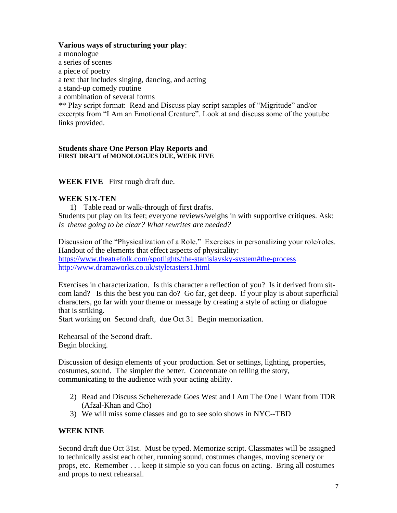#### **Various ways of structuring your play**:

a monologue a series of scenes a piece of poetry a text that includes singing, dancing, and acting a stand-up comedy routine a combination of several forms \*\* Play script format: Read and Discuss play script samples of "Migritude" and/or excerpts from "I Am an Emotional Creature". Look at and discuss some of the youtube links provided.

#### **Students share One Person Play Reports and FIRST DRAFT of MONOLOGUES DUE, WEEK FIVE**

### **WEEK FIVE** First rough draft due.

#### **WEEK SIX-TEN**

1) Table read or walk-through of first drafts. Students put play on its feet; everyone reviews/weighs in with supportive critiques. Ask: *Is theme going to be clear? What rewrites are needed?*

Discussion of the "Physicalization of a Role." Exercises in personalizing your role/roles. Handout of the elements that effect aspects of physicality: <https://www.theatrefolk.com/spotlights/the-stanislavsky-system#the-process> <http://www.dramaworks.co.uk/styletasters1.html>

Exercises in characterization. Is this character a reflection of you? Is it derived from sitcom land? Is this the best you can do? Go far, get deep. If your play is about superficial characters, go far with your theme or message by creating a style of acting or dialogue that is striking.

Start working on Second draft, due Oct 31 Begin memorization.

Rehearsal of the Second draft. Begin blocking.

Discussion of design elements of your production. Set or settings, lighting, properties, costumes, sound. The simpler the better. Concentrate on telling the story, communicating to the audience with your acting ability.

- 2) Read and Discuss Scheherezade Goes West and I Am The One I Want from TDR (Afzal-Khan and Cho)
- 3) We will miss some classes and go to see solo shows in NYC--TBD

#### **WEEK NINE**

Second draft due Oct 31st. Must be typed. Memorize script. Classmates will be assigned to technically assist each other, running sound, costumes changes, moving scenery or props, etc. Remember . . . keep it simple so you can focus on acting. Bring all costumes and props to next rehearsal.